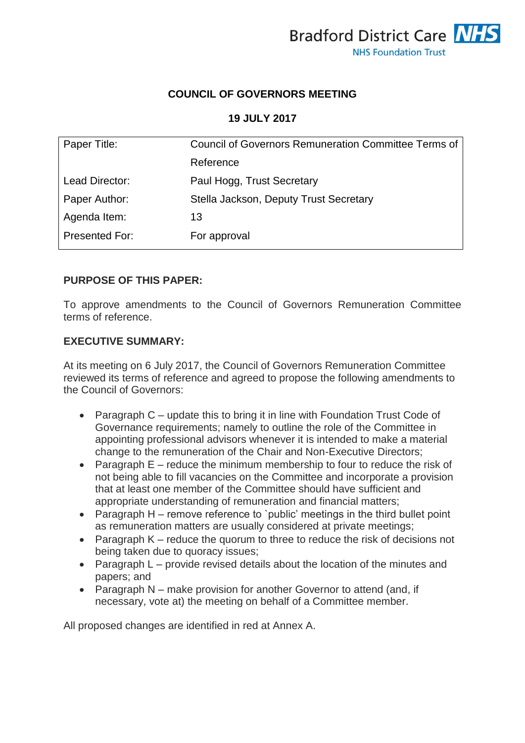

## **COUNCIL OF GOVERNORS MEETING**

## **19 JULY 2017**

| Paper Title:   | <b>Council of Governors Remuneration Committee Terms of</b> |
|----------------|-------------------------------------------------------------|
|                | Reference                                                   |
| Lead Director: | Paul Hogg, Trust Secretary                                  |
| Paper Author:  | Stella Jackson, Deputy Trust Secretary                      |
| Agenda Item:   | 13                                                          |
| Presented For: | For approval                                                |

# **PURPOSE OF THIS PAPER:**

To approve amendments to the Council of Governors Remuneration Committee terms of reference.

#### **EXECUTIVE SUMMARY:**

At its meeting on 6 July 2017, the Council of Governors Remuneration Committee reviewed its terms of reference and agreed to propose the following amendments to the Council of Governors:

- Paragraph C update this to bring it in line with Foundation Trust Code of Governance requirements; namely to outline the role of the Committee in appointing professional advisors whenever it is intended to make a material change to the remuneration of the Chair and Non-Executive Directors;
- Paragraph  $E$  reduce the minimum membership to four to reduce the risk of not being able to fill vacancies on the Committee and incorporate a provision that at least one member of the Committee should have sufficient and appropriate understanding of remuneration and financial matters;
- Paragraph H remove reference to `public' meetings in the third bullet point as remuneration matters are usually considered at private meetings;
- Paragraph K reduce the quorum to three to reduce the risk of decisions not being taken due to quoracy issues;
- Paragraph L provide revised details about the location of the minutes and papers; and
- Paragraph N make provision for another Governor to attend (and, if necessary, vote at) the meeting on behalf of a Committee member.

All proposed changes are identified in red at Annex A.